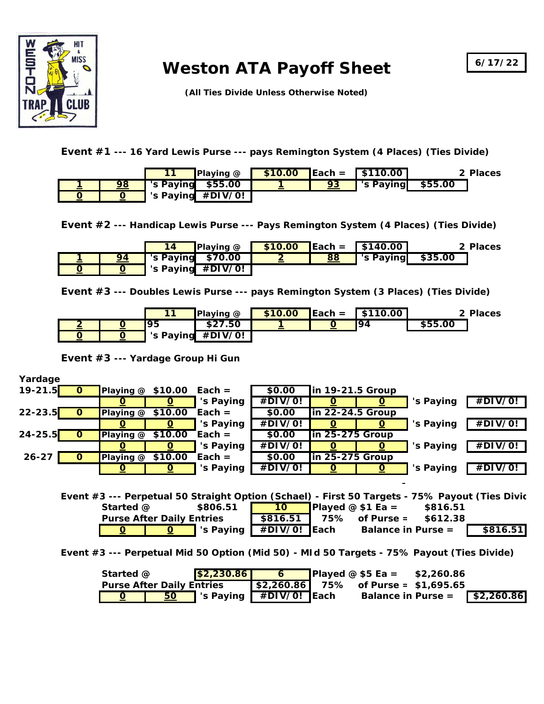

# **Weston ATA Payoff Sheet**

**6/17/22**

**(All Ties Divide Unless Otherwise Noted)**

**Event #1 --- 16 Yard Lewis Purse --- pays Remington System (4 Places) (Ties Divide)**

|    | <b>Playing</b> @                 | \$10.00 | $\sqrt{2}$ Each = $\sqrt{3110.00}$ |         | 2 Places |
|----|----------------------------------|---------|------------------------------------|---------|----------|
| 98 | $\blacksquare$ 's Paying \$55.00 |         | I's Paying                         | \$55.00 |          |
|    | 's Paying $#DIV/0!$              |         |                                    |         |          |

**Event #2 --- Handicap Lewis Purse --- Pays Remington System (4 Places) (Ties Divide)**

|    | <b>Playing</b> @           | \$10.00 |    | <b>Each</b> = $\sqrt{5140.00}$ |         | 2 Places |
|----|----------------------------|---------|----|--------------------------------|---------|----------|
| 94 | $\sqrt{$ 's Paying \$70.00 |         | 88 | I's Paying                     | \$35.00 |          |
|    | 's Paying #DIV/0!          |         |    |                                |         |          |

**Event #3 --- Doubles Lewis Purse --- pays Remington System (3 Places) (Ties Divide)**

|        |                | Playing @ | \$10.00 | $\mathsf{Each} =$ | I \$110.00 I |         | 2 Places |
|--------|----------------|-----------|---------|-------------------|--------------|---------|----------|
| ⋍      | 195            | \$27.50   |         | -                 | 194          | \$55.00 |          |
| $\sim$ | 's Paying<br>- | #DIV/0!   |         |                   |              |         |          |

**Event #3 --- Yardage Group Hi Gun**

#### **Yardage**

| $19 - 21.5$<br>in 19-21.5 Group<br>\$0.00<br>\$10.00<br>$Each =$<br><b>Playing</b><br>@                |         |
|--------------------------------------------------------------------------------------------------------|---------|
| 's Paying<br>$#$ DIV/0!<br>'s Paying<br>υ<br><u>ບ</u><br>υ<br><u>ୁ</u>                                 | #DIV/0! |
| $22 - 23.5$<br>in 22-24.5 Group<br>$\text{Each} =$<br>\$0.00<br>\$10.00<br>Playing @                   |         |
| $#$ DIV/0!<br>'s Paying<br>'s Paying<br>U<br><u>ບ</u>                                                  | #DIV/0! |
| $24 - 25.5$<br>in 25-275 Group<br>$Each =$<br>\$10.00<br>\$0.00<br><b>Playing</b><br>@                 |         |
| #DIV/O!<br>'s Paying<br>'s Paying<br><u>0</u><br><u>0</u>                                              | #DIV/0! |
| in 25-275 Group<br>$26 - 27$<br>\$10.00<br>$Each =$<br>\$0.00<br>Playing<br>@                          |         |
| 's Paying<br>'s Paying<br>#DIV/0!<br>$\mathbf 0$<br>$\overline{\mathbf{0}}$<br>$\mathbf 0$<br>$\bf{O}$ | #DIV/0! |

**Event #3 --- Perpetual 50 Straight Option (Schael) - First 50 Targets - 75% Payout (Ties Divid**

| Started @ |                                  | \$806.51                  | 10 <sup>°</sup> | Played @ \$1 Ea =          | \$816.51 |          |
|-----------|----------------------------------|---------------------------|-----------------|----------------------------|----------|----------|
|           | <b>Purse After Daily Entries</b> |                           |                 | $$816.51$   75% of Purse = | \$612.38 |          |
|           |                                  | <mark>∣'s Paying  </mark> | #DIV/0! Each    | <b>Balance in Purse =</b>  |          | \$816.51 |

**Event #3 --- Perpetual Mid 50 Option (Mid 50) - MId 50 Targets - 75% Payout (Ties Divide)**

| Started @ |                                  | \$2,230.86 |                                              | Played @ $$5$ Ea = $$2,260.86$ |            |
|-----------|----------------------------------|------------|----------------------------------------------|--------------------------------|------------|
|           | <b>Purse After Daily Entries</b> |            | $\sqrt{$2,260.86}$ 75% of Purse = \$1,695.65 |                                |            |
|           | $-50$                            | I's Paying | #DIV/0! Each                                 | <b>Balance in Purse =</b>      | \$2,260.86 |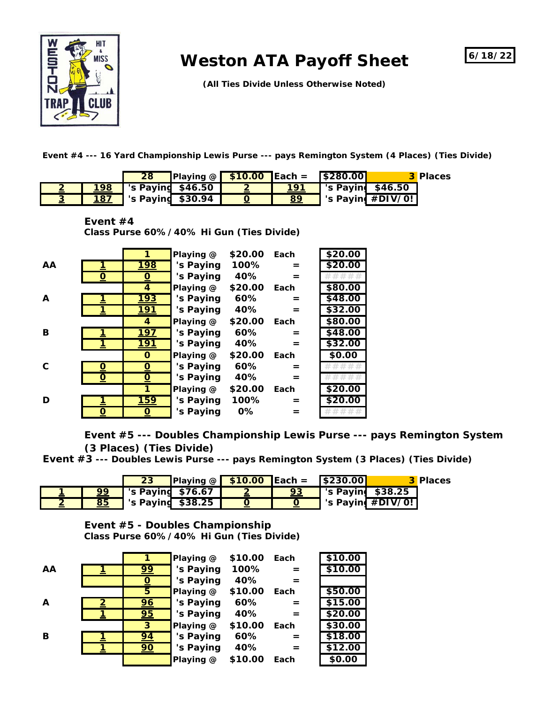

### **Weston ATA Payoff Sheet**

**6/18/22**

**(All Ties Divide Unless Otherwise Noted)**

**Event #4 --- 16 Yard Championship Lewis Purse --- pays Remington System (4 Places) (Ties Divide)**

|     | 28                               | Playing @ $$10.00$ Each = $$280.00$ |    |                                  | <b>3 Places</b> |
|-----|----------------------------------|-------------------------------------|----|----------------------------------|-----------------|
|     | <b>198 I</b> 's Paying \$46.50   |                                     |    | 191 SPaying \$46.50              |                 |
| 187 | $\blacksquare$ 's Paying \$30.94 |                                     | 89 | $\blacksquare$ 's Paying #DIV/0! |                 |

#### **Event #4**

**Class Purse 60%/40% Hi Gun (Ties Divide)**

|    |          | 1                       | Playing @ | \$20.00 | Each | \$20.00 |
|----|----------|-------------------------|-----------|---------|------|---------|
| AA | <u>1</u> | <u> 198</u>             | 's Paying | 100%    |      | \$20.00 |
|    | <u>0</u> | $\overline{\mathsf{O}}$ | 's Paying | 40%     |      |         |
|    |          | 4                       | Playing @ | \$20.00 | Each | \$80.00 |
| A  |          | 193                     | 's Paying | 60%     |      | \$48.00 |
|    |          | 191                     | 's Paying | 40%     |      | \$32.00 |
|    |          | 4                       | Playing @ | \$20.00 | Each | \$80.00 |
| в  |          | 197                     | 's Paying | 60%     |      | \$48.00 |
|    |          | 191                     | 's Paying | 40%     |      | \$32.00 |
|    |          | $\mathbf{o}$            | Playing @ | \$20.00 | Each | \$0.00  |
| C  | <u>0</u> | $\overline{\mathbf{0}}$ | 's Paying | 60%     |      |         |
|    | <u>o</u> | $\overline{\Omega}$     | 's Paying | 40%     |      |         |
|    |          | 1                       | Playing @ | \$20.00 | Each | \$20.00 |
| D  | <u>1</u> | <b>159</b>              | 's Paying | 100%    |      | \$20.00 |
|    |          | <u>0</u>                | 's Paying | $0\%$   |      |         |

**Event #5 --- Doubles Championship Lewis Purse --- pays Remington System (3 Places) (Ties Divide)**

**Event #3 --- Doubles Lewis Purse --- pays Remington System (3 Places) (Ties Divide)**

|    | 23                               | Playing @ $\begin{array}{ c c c c c }\n\hline \text{Playing} & \text{$10.00}\n\hline \end{array}$ Each = $\begin{array}{ c c c c }\n\hline \text{$230.00}\n\hline \end{array}$ |    |                              |                                  | <b>3 Places</b> |
|----|----------------------------------|--------------------------------------------------------------------------------------------------------------------------------------------------------------------------------|----|------------------------------|----------------------------------|-----------------|
|    | $\blacksquare$ 's Payind \$76.67 |                                                                                                                                                                                | 93 | $\sqrt{ }$ 's Payind \$38.25 |                                  |                 |
| 85 | $\blacksquare$ 's Paying \$38.25 |                                                                                                                                                                                |    |                              | $\blacksquare$ 's Paying #DIV/0! |                 |

#### **Event #5 - Doubles Championship Class Purse 60%/40% Hi Gun (Ties Divide)**

|    |                | 1                       | Playing @ | \$10.00 | Each | \$10.00 |
|----|----------------|-------------------------|-----------|---------|------|---------|
| AA |                | $\overline{99}$         | 's Paying | 100%    |      | \$10.00 |
|    |                | $\overline{\mathbf{0}}$ | 's Paying | 40%     |      |         |
|    |                | 5                       | Playing @ | \$10.00 | Each | \$50.00 |
| A  | $\overline{2}$ | 96                      | 's Paying | 60%     |      | \$15.00 |
|    |                | $\overline{95}$         | 's Paying | 40%     |      | \$20.00 |
|    |                | $\overline{3}$          | Playing @ | \$10.00 | Each | \$30.00 |
| В  | 1              | $\overline{94}$         | 's Paying | 60%     |      | \$18.00 |
|    |                | $\overline{90}$         | 's Paying | 40%     |      | \$12.00 |
|    |                |                         | Playing @ | \$10.00 | Each | \$0.00  |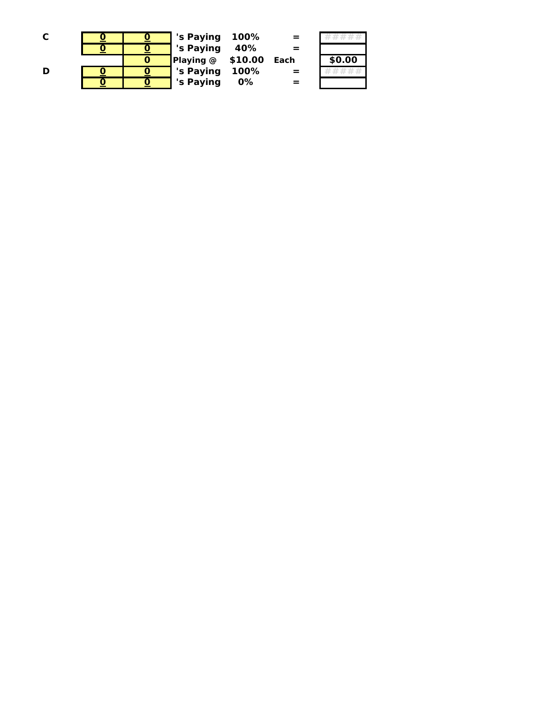| C |  | 's Paying 100%      |     |      |        |
|---|--|---------------------|-----|------|--------|
|   |  | s Paying            | 40% |      |        |
|   |  | Playing $@$ \$10.00 |     | Each | \$0.00 |
| D |  | s Paying 100%       |     |      |        |
|   |  | 's Paying           | 0%  |      |        |